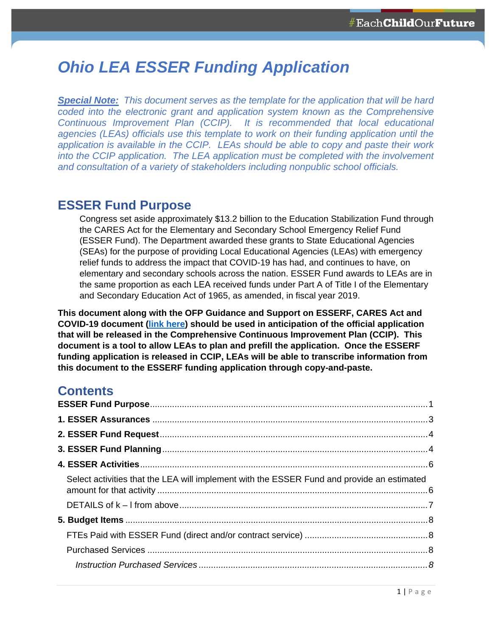# *Ohio LEA ESSER Funding Application*

*Special Note: This document serves as the template for the application that will be hard coded into the electronic grant and application system known as the Comprehensive Continuous Improvement Plan (CCIP). It is recommended that local educational agencies (LEAs) officials use this template to work on their funding application until the application is available in the CCIP. LEAs should be able to copy and paste their work into the CCIP application. The LEA application must be completed with the involvement and consultation of a variety of stakeholders including nonpublic school officials.* 

### **ESSER Fund Purpose**

Congress set aside approximately \$13.2 billion to the Education Stabilization Fund through the CARES Act for the Elementary and Secondary School Emergency Relief Fund (ESSER Fund). The Department awarded these grants to State Educational Agencies (SEAs) for the purpose of providing Local Educational Agencies (LEAs) with emergency relief funds to address the impact that COVID-19 has had, and continues to have, on elementary and secondary schools across the nation. ESSER Fund awards to LEAs are in the same proportion as each LEA received funds under Part A of Title I of the Elementary and Secondary Education Act of 1965, as amended, in fiscal year 2019.

**This document along with the OFP Guidance and Support on ESSERF, CARES Act and COVID-19 document [\(link here](https://ccip.ode.state.oh.us/DocumentLibrary/ViewDocument.aspx?DocumentKey=84192)) should be used in anticipation of the official application that will be released in the Comprehensive Continuous Improvement Plan (CCIP). This document is a tool to allow LEAs to plan and prefill the application. Once the ESSERF funding application is released in CCIP, LEAs will be able to transcribe information from this document to the ESSERF funding application through copy-and-paste.** 

### **Contents**

| Select activities that the LEA will implement with the ESSER Fund and provide an estimated |  |
|--------------------------------------------------------------------------------------------|--|
|                                                                                            |  |
|                                                                                            |  |
|                                                                                            |  |
|                                                                                            |  |
|                                                                                            |  |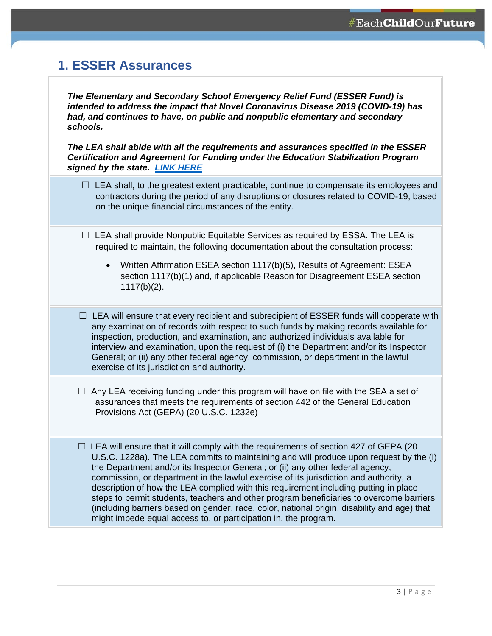## <span id="page-2-0"></span>**1. ESSER Assurances**

*The Elementary and Secondary School Emergency Relief Fund (ESSER Fund) is intended to address the impact that Novel Coronavirus Disease 2019 (COVID-19) has had, and continues to have, on public and nonpublic elementary and secondary schools.* 

*The LEA shall abide with all the requirements and assurances specified in the ESSER Certification and Agreement for Funding under the Education Stabilization Program signed by the state. [LINK HERE](https://ccip.ode.state.oh.us/DocumentLibrary/ViewDocument.aspx?DocumentKey=84350)*

- $\Box$  LEA shall, to the greatest extent practicable, continue to compensate its employees and contractors during the period of any disruptions or closures related to COVID-19, based on the unique financial circumstances of the entity.
- $\Box$  LEA shall provide Nonpublic Equitable Services as required by ESSA. The LEA is required to maintain, the following documentation about the consultation process:
	- Written Affirmation ESEA section 1117(b)(5), Results of Agreement: ESEA section 1117(b)(1) and, if applicable Reason for Disagreement ESEA section 1117(b)(2).
- $\Box$  LEA will ensure that every recipient and subrecipient of ESSER funds will cooperate with any examination of records with respect to such funds by making records available for inspection, production, and examination, and authorized individuals available for interview and examination, upon the request of (i) the Department and/or its Inspector General; or (ii) any other federal agency, commission, or department in the lawful exercise of its jurisdiction and authority.
- $\Box$  Any LEA receiving funding under this program will have on file with the SEA a set of assurances that meets the requirements of section 442 of the General Education Provisions Act (GEPA) (20 U.S.C. 1232e)

 $\Box$  LEA will ensure that it will comply with the requirements of section 427 of GEPA (20 U.S.C. 1228a). The LEA commits to maintaining and will produce upon request by the (i) the Department and/or its Inspector General; or (ii) any other federal agency, commission, or department in the lawful exercise of its jurisdiction and authority, a description of how the LEA complied with this requirement including putting in place steps to permit students, teachers and other program beneficiaries to overcome barriers (including barriers based on gender, race, color, national origin, disability and age) that might impede equal access to, or participation in, the program.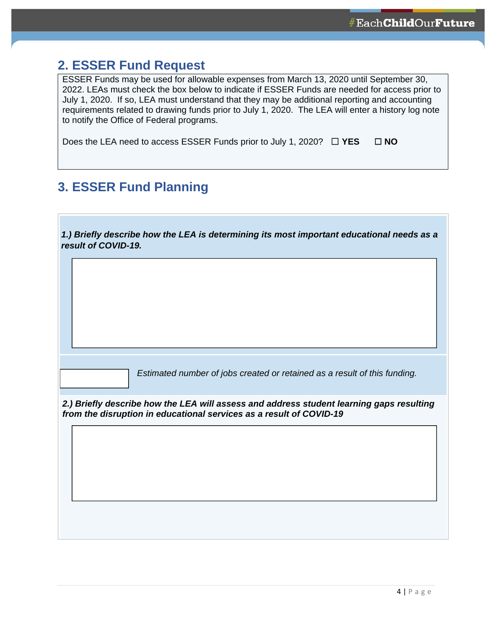### <span id="page-3-0"></span>**2. ESSER Fund Request**

ESSER Funds may be used for allowable expenses from March 13, 2020 until September 30, 2022. LEAs must check the box below to indicate if ESSER Funds are needed for access prior to July 1, 2020. If so, LEA must understand that they may be additional reporting and accounting requirements related to drawing funds prior to July 1, 2020. The LEA will enter a history log note to notify the Office of Federal programs.

Does the LEA need to access ESSER Funds prior to July 1, 2020? ☐ **YES** ☐ **NO**

## **3. ESSER Fund Planning**

| 1.) Briefly describe how the LEA is determining its most important educational needs as a |  |
|-------------------------------------------------------------------------------------------|--|
| result of COVID-19.                                                                       |  |

*Estimated number of jobs created or retained as a result of this funding.* 

*2.) Briefly describe how the LEA will assess and address student learning gaps resulting from the disruption in educational services as a result of COVID-19*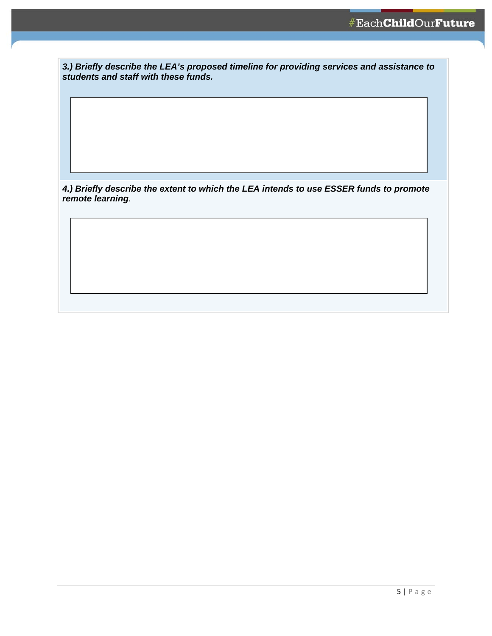*3.) Briefly describe the LEA's proposed timeline for providing services and assistance to students and staff with these funds.* 

*4.) Briefly describe the extent to which the LEA intends to use ESSER funds to promote remote learning.*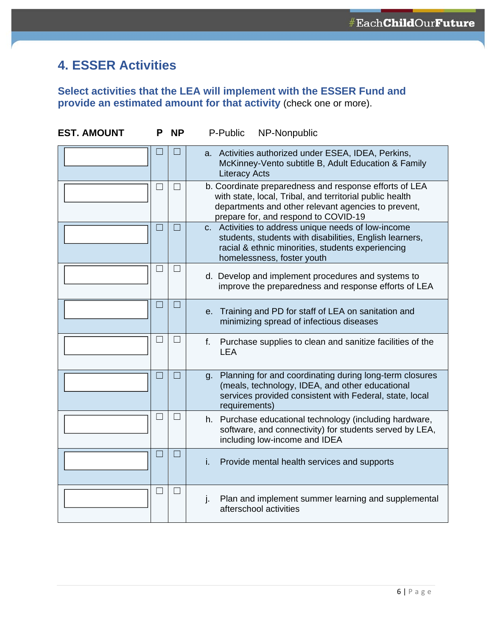## <span id="page-5-0"></span>**4. ESSER Activities**

### **Select activities that the LEA will implement with the ESSER Fund and provide an estimated amount for that activity** (check one or more).

| <b>EST. AMOUNT</b> | Р              | <b>NP</b>         | P-Public<br>NP-Nonpublic                                                                                                                                                                                          |  |  |
|--------------------|----------------|-------------------|-------------------------------------------------------------------------------------------------------------------------------------------------------------------------------------------------------------------|--|--|
|                    |                |                   | a. Activities authorized under ESEA, IDEA, Perkins,<br>McKinney-Vento subtitle B, Adult Education & Family<br><b>Literacy Acts</b>                                                                                |  |  |
|                    | $\blacksquare$ | $\Box$            | b. Coordinate preparedness and response efforts of LEA<br>with state, local, Tribal, and territorial public health<br>departments and other relevant agencies to prevent,<br>prepare for, and respond to COVID-19 |  |  |
|                    | H              | $\Box$            | c. Activities to address unique needs of low-income<br>students, students with disabilities, English learners,<br>racial & ethnic minorities, students experiencing<br>homelessness, foster youth                 |  |  |
|                    | $\mathcal{L}$  | $\Box$            | d. Develop and implement procedures and systems to<br>improve the preparedness and response efforts of LEA                                                                                                        |  |  |
|                    | $\Box$         | $\Box$            | e. Training and PD for staff of LEA on sanitation and<br>minimizing spread of infectious diseases                                                                                                                 |  |  |
|                    | $\mathcal{L}$  | $\Box$            | f.<br>Purchase supplies to clean and sanitize facilities of the<br><b>LEA</b>                                                                                                                                     |  |  |
|                    | $\Box$         | $\Box$            | g. Planning for and coordinating during long-term closures<br>(meals, technology, IDEA, and other educational<br>services provided consistent with Federal, state, local<br>requirements)                         |  |  |
|                    | $\Box$         | $\Box$            | h. Purchase educational technology (including hardware,<br>software, and connectivity) for students served by LEA,<br>including low-income and IDEA                                                               |  |  |
|                    | $\mathbf{r}$   | $\vert \ \ \vert$ | Provide mental health services and supports<br>i.                                                                                                                                                                 |  |  |
|                    | $\blacksquare$ | $\Box$            | j.<br>Plan and implement summer learning and supplemental<br>afterschool activities                                                                                                                               |  |  |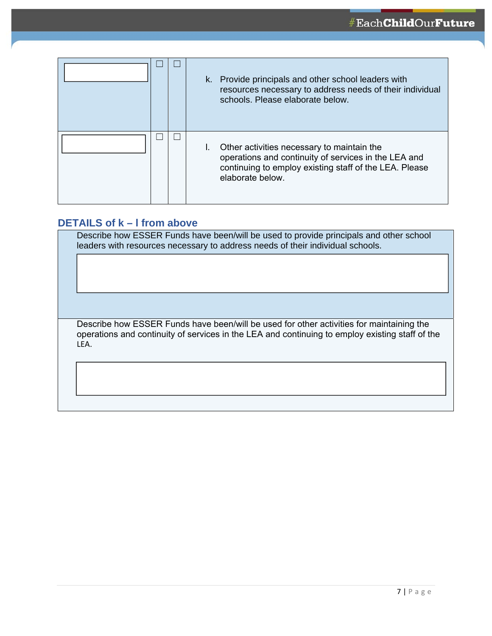<span id="page-6-0"></span>

|  | k. Provide principals and other school leaders with<br>resources necessary to address needs of their individual<br>schools. Please elaborate below.                              |
|--|----------------------------------------------------------------------------------------------------------------------------------------------------------------------------------|
|  | Other activities necessary to maintain the<br>operations and continuity of services in the LEA and<br>continuing to employ existing staff of the LEA. Please<br>elaborate below. |

#### **DETAILS of k – l from above**

Describe how ESSER Funds have been/will be used to provide principals and other school leaders with resources necessary to address needs of their individual schools.

Describe how ESSER Funds have been/will be used for other activities for maintaining the operations and continuity of services in the LEA and continuing to employ existing staff of the LEA.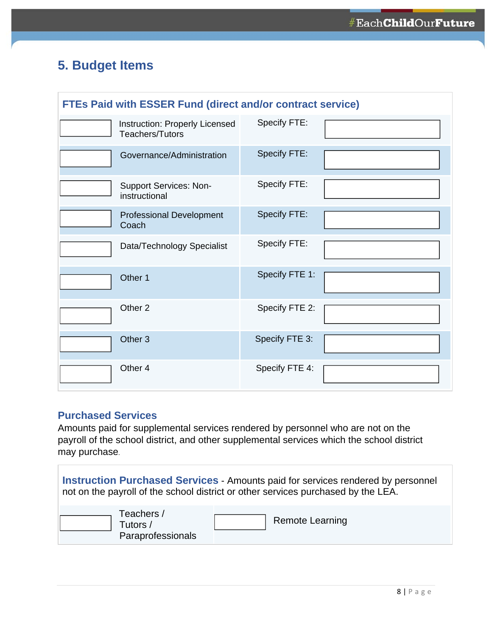## <span id="page-7-0"></span>**5. Budget Items**

| <b>FTEs Paid with ESSER Fund (direct and/or contract service)</b> |                                                          |                |  |  |
|-------------------------------------------------------------------|----------------------------------------------------------|----------------|--|--|
|                                                                   | Instruction: Properly Licensed<br><b>Teachers/Tutors</b> | Specify FTE:   |  |  |
|                                                                   | Governance/Administration                                | Specify FTE:   |  |  |
|                                                                   | <b>Support Services: Non-</b><br>instructional           | Specify FTE:   |  |  |
|                                                                   | <b>Professional Development</b><br>Coach                 | Specify FTE:   |  |  |
|                                                                   | Data/Technology Specialist                               | Specify FTE:   |  |  |
|                                                                   | Other 1                                                  | Specify FTE 1: |  |  |
|                                                                   | Other <sub>2</sub>                                       | Specify FTE 2: |  |  |
|                                                                   | Other <sub>3</sub>                                       | Specify FTE 3: |  |  |
|                                                                   | Other 4                                                  | Specify FTE 4: |  |  |

### **Purchased Services**

Amounts paid for supplemental services rendered by personnel who are not on the payroll of the school district, and other supplemental services which the school district may purchase.

| <b>Instruction Purchased Services - Amounts paid for services rendered by personnel</b><br>not on the payroll of the school district or other services purchased by the LEA. |                        |  |  |  |
|------------------------------------------------------------------------------------------------------------------------------------------------------------------------------|------------------------|--|--|--|
| Teachers /<br>Tutors /<br>Paraprofessionals                                                                                                                                  | <b>Remote Learning</b> |  |  |  |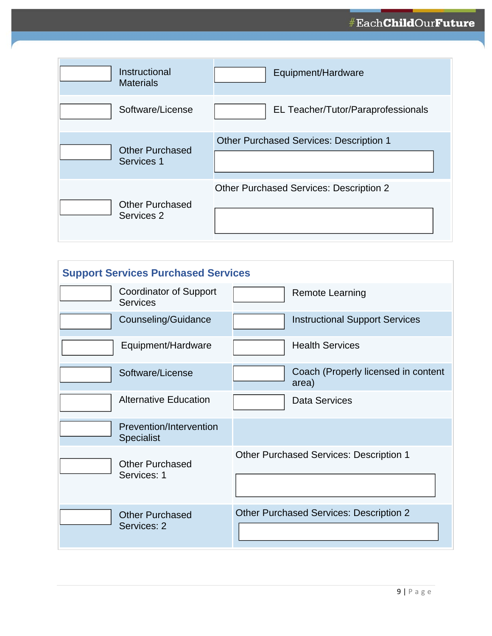<span id="page-8-0"></span>

| Instructional<br><b>Materials</b>    | Equipment/Hardware                             |
|--------------------------------------|------------------------------------------------|
| Software/License                     | EL Teacher/Tutor/Paraprofessionals             |
| <b>Other Purchased</b><br>Services 1 | <b>Other Purchased Services: Description 1</b> |
| <b>Other Purchased</b><br>Services 2 | <b>Other Purchased Services: Description 2</b> |

| <b>Support Services Purchased Services</b> |                                              |  |                                                |  |
|--------------------------------------------|----------------------------------------------|--|------------------------------------------------|--|
|                                            | Coordinator of Support<br><b>Services</b>    |  | <b>Remote Learning</b>                         |  |
|                                            | Counseling/Guidance                          |  | <b>Instructional Support Services</b>          |  |
|                                            | Equipment/Hardware                           |  | <b>Health Services</b>                         |  |
|                                            | Software/License                             |  | Coach (Properly licensed in content<br>area)   |  |
|                                            | <b>Alternative Education</b>                 |  | Data Services                                  |  |
|                                            | Prevention/Intervention<br><b>Specialist</b> |  |                                                |  |
|                                            | <b>Other Purchased</b><br>Services: 1        |  | <b>Other Purchased Services: Description 1</b> |  |
|                                            | <b>Other Purchased</b><br>Services: 2        |  | <b>Other Purchased Services: Description 2</b> |  |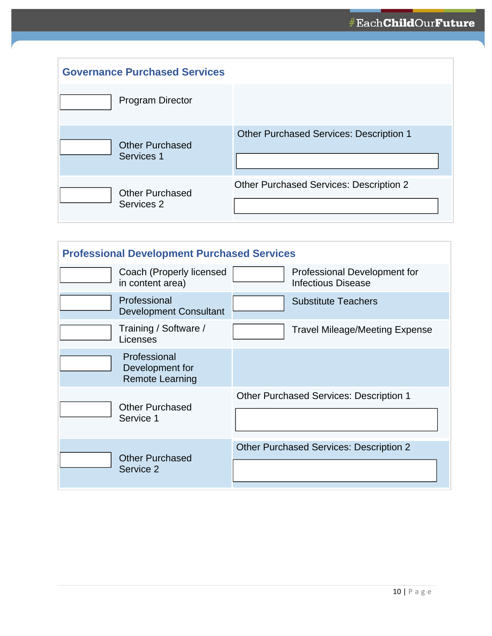<span id="page-9-0"></span>

| <b>Governance Purchased Services</b> |                                                |
|--------------------------------------|------------------------------------------------|
| <b>Program Director</b>              |                                                |
| <b>Other Purchased</b><br>Services 1 | <b>Other Purchased Services: Description 1</b> |
| <b>Other Purchased</b><br>Services 2 | <b>Other Purchased Services: Description 2</b> |

| <b>Professional Development Purchased Services</b> |                                                           |  |                                                           |  |
|----------------------------------------------------|-----------------------------------------------------------|--|-----------------------------------------------------------|--|
|                                                    | Coach (Properly licensed<br>in content area)              |  | Professional Development for<br><b>Infectious Disease</b> |  |
|                                                    | Professional<br><b>Development Consultant</b>             |  | <b>Substitute Teachers</b>                                |  |
|                                                    | Training / Software /<br>Licenses                         |  | Travel Mileage/Meeting Expense                            |  |
|                                                    | Professional<br>Development for<br><b>Remote Learning</b> |  |                                                           |  |
|                                                    | <b>Other Purchased</b><br>Service 1                       |  | <b>Other Purchased Services: Description 1</b>            |  |
|                                                    | <b>Other Purchased</b><br>Service 2                       |  | <b>Other Purchased Services: Description 2</b>            |  |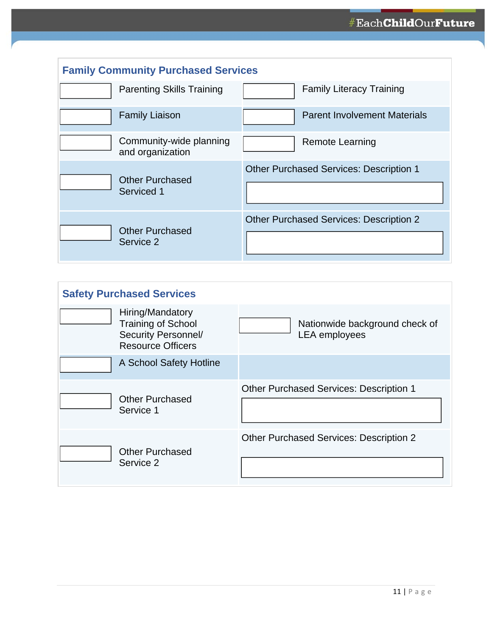<span id="page-10-0"></span>

| <b>Family Community Purchased Services</b>  |                                                |  |  |  |
|---------------------------------------------|------------------------------------------------|--|--|--|
| <b>Parenting Skills Training</b>            | <b>Family Literacy Training</b>                |  |  |  |
| <b>Family Liaison</b>                       | <b>Parent Involvement Materials</b>            |  |  |  |
| Community-wide planning<br>and organization | <b>Remote Learning</b>                         |  |  |  |
| <b>Other Purchased</b><br>Serviced 1        | <b>Other Purchased Services: Description 1</b> |  |  |  |
| <b>Other Purchased</b><br>Service 2         | <b>Other Purchased Services: Description 2</b> |  |  |  |

| <b>Safety Purchased Services</b> |                                                                                                         |                                                        |  |  |
|----------------------------------|---------------------------------------------------------------------------------------------------------|--------------------------------------------------------|--|--|
|                                  | Hiring/Mandatory<br><b>Training of School</b><br><b>Security Personnel/</b><br><b>Resource Officers</b> | Nationwide background check of<br><b>LEA</b> employees |  |  |
|                                  | A School Safety Hotline                                                                                 |                                                        |  |  |
|                                  | <b>Other Purchased</b><br>Service 1                                                                     | <b>Other Purchased Services: Description 1</b>         |  |  |
|                                  | <b>Other Purchased</b><br>Service 2                                                                     | <b>Other Purchased Services: Description 2</b>         |  |  |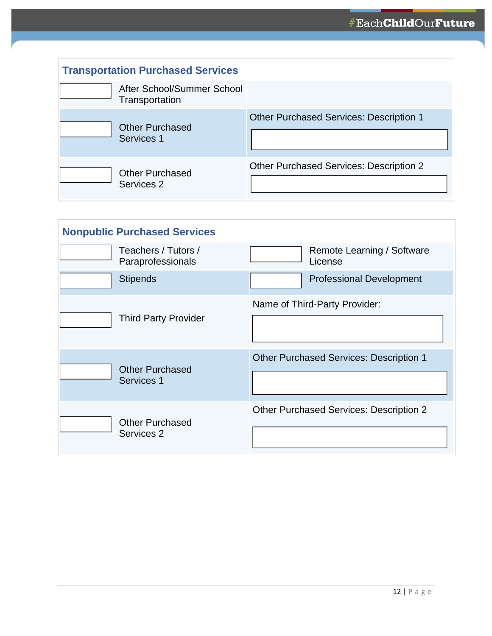<span id="page-11-0"></span>

| <b>Transportation Purchased Services</b>     |                                                |  |  |
|----------------------------------------------|------------------------------------------------|--|--|
| After School/Summer School<br>Transportation |                                                |  |  |
| <b>Other Purchased</b><br>Services 1         | <b>Other Purchased Services: Description 1</b> |  |  |
| <b>Other Purchased</b><br>Services 2         | <b>Other Purchased Services: Description 2</b> |  |  |

| <b>Nonpublic Purchased Services</b>      |                                                |  |
|------------------------------------------|------------------------------------------------|--|
| Teachers / Tutors /<br>Paraprofessionals | Remote Learning / Software<br>License          |  |
| <b>Stipends</b>                          | <b>Professional Development</b>                |  |
| <b>Third Party Provider</b>              | Name of Third-Party Provider:                  |  |
| <b>Other Purchased</b><br>Services 1     | <b>Other Purchased Services: Description 1</b> |  |
| <b>Other Purchased</b><br>Services 2     | <b>Other Purchased Services: Description 2</b> |  |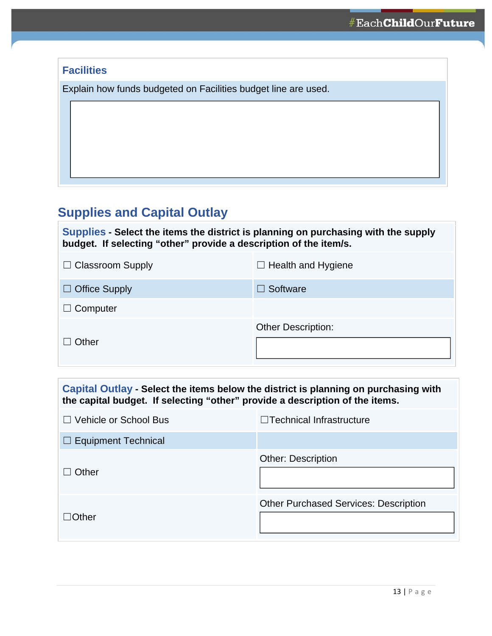<span id="page-12-0"></span>

| <b>Facilities</b>                                              |
|----------------------------------------------------------------|
| Explain how funds budgeted on Facilities budget line are used. |
|                                                                |
|                                                                |
|                                                                |
|                                                                |

## **Supplies and Capital Outlay**

**Supplies - Select the items the district is planning on purchasing with the supply budget. If selecting "other" provide a description of the item/s.** 

| $\Box$ Classroom Supply | $\Box$ Health and Hygiene |
|-------------------------|---------------------------|
| $\Box$ Office Supply    | $\Box$ Software           |
| $\Box$ Computer         |                           |
| $\Box$ Other            | <b>Other Description:</b> |

| Capital Outlay - Select the items below the district is planning on purchasing with<br>the capital budget. If selecting "other" provide a description of the items. |                                              |  |
|---------------------------------------------------------------------------------------------------------------------------------------------------------------------|----------------------------------------------|--|
| $\Box$ Vehicle or School Bus                                                                                                                                        | $\Box$ Technical Infrastructure              |  |
| $\Box$ Equipment Technical                                                                                                                                          |                                              |  |
| Other                                                                                                                                                               | <b>Other: Description</b>                    |  |
| $\Box$ Other                                                                                                                                                        | <b>Other Purchased Services: Description</b> |  |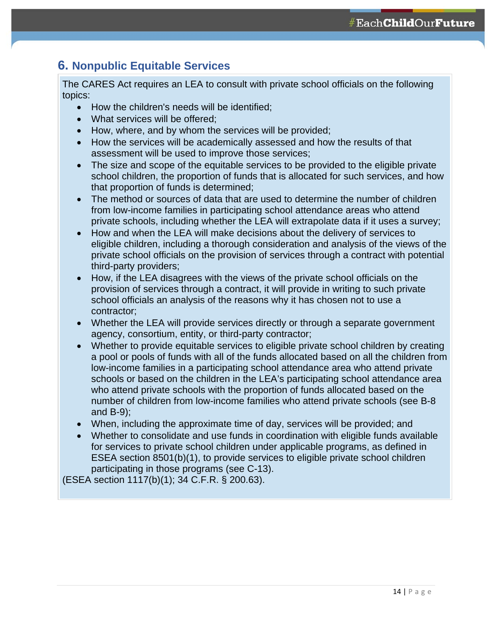### <span id="page-13-0"></span>**6. Nonpublic Equitable Services**

The CARES Act requires an LEA to consult with private school officials on the following topics:

- How the children's needs will be identified;
- What services will be offered;
- How, where, and by whom the services will be provided;
- How the services will be academically assessed and how the results of that assessment will be used to improve those services;
- The size and scope of the equitable services to be provided to the eligible private school children, the proportion of funds that is allocated for such services, and how that proportion of funds is determined;
- The method or sources of data that are used to determine the number of children from low-income families in participating school attendance areas who attend private schools, including whether the LEA will extrapolate data if it uses a survey;
- How and when the LEA will make decisions about the delivery of services to eligible children, including a thorough consideration and analysis of the views of the private school officials on the provision of services through a contract with potential third-party providers;
- How, if the LEA disagrees with the views of the private school officials on the provision of services through a contract, it will provide in writing to such private school officials an analysis of the reasons why it has chosen not to use a contractor;
- Whether the LEA will provide services directly or through a separate government agency, consortium, entity, or third-party contractor;
- Whether to provide equitable services to eligible private school children by creating a pool or pools of funds with all of the funds allocated based on all the children from low-income families in a participating school attendance area who attend private schools or based on the children in the LEA's participating school attendance area who attend private schools with the proportion of funds allocated based on the number of children from low-income families who attend private schools (see B-8 and B-9);
- When, including the approximate time of day, services will be provided; and
- Whether to consolidate and use funds in coordination with eligible funds available for services to private school children under applicable programs, as defined in ESEA section 8501(b)(1), to provide services to eligible private school children participating in those programs (see C-13).

(ESEA section 1117(b)(1); 34 C.F.R. § 200.63).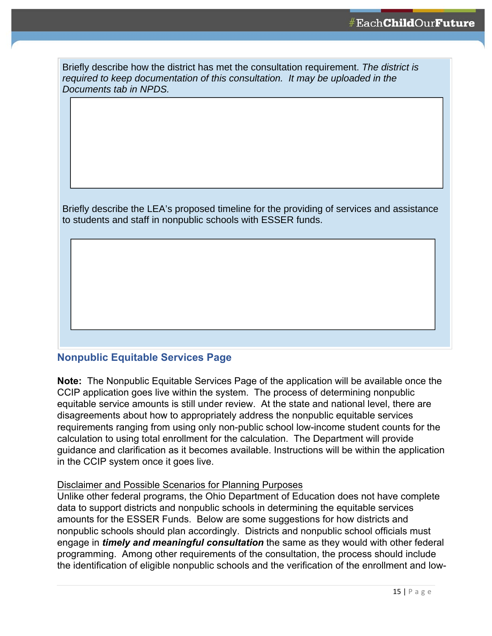<span id="page-14-0"></span>

| Briefly describe how the district has met the consultation requirement. The district is |
|-----------------------------------------------------------------------------------------|
| required to keep documentation of this consultation. It may be uploaded in the          |
| Documents tab in NPDS.                                                                  |

Briefly describe the LEA's proposed timeline for the providing of services and assistance to students and staff in nonpublic schools with ESSER funds.

#### **Nonpublic Equitable Services Page**

**Note:** The Nonpublic Equitable Services Page of the application will be available once the CCIP application goes live within the system. The process of determining nonpublic equitable service amounts is still under review. At the state and national level, there are disagreements about how to appropriately address the nonpublic equitable services requirements ranging from using only non-public school low-income student counts for the calculation to using total enrollment for the calculation. The Department will provide guidance and clarification as it becomes available. Instructions will be within the application in the CCIP system once it goes live.

#### Disclaimer and Possible Scenarios for Planning Purposes

Unlike other federal programs, the Ohio Department of Education does not have complete data to support districts and nonpublic schools in determining the equitable services amounts for the ESSER Funds. Below are some suggestions for how districts and nonpublic schools should plan accordingly. Districts and nonpublic school officials must engage in *timely and meaningful consultation* the same as they would with other federal programming. Among other requirements of the consultation, the process should include the identification of eligible nonpublic schools and the verification of the enrollment and low